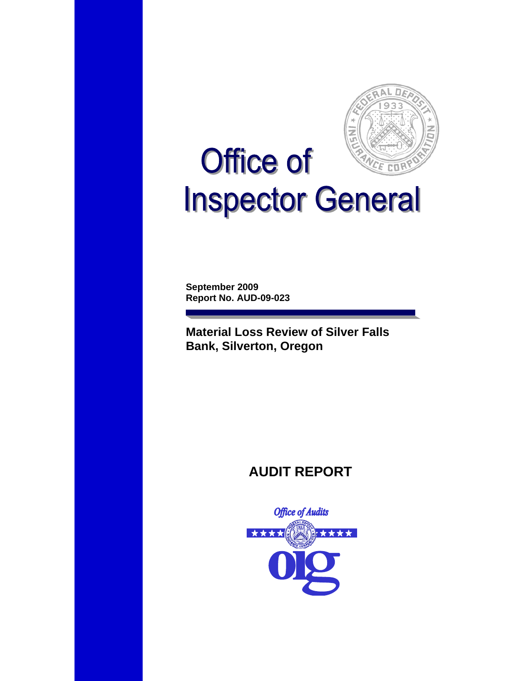

# **Office of** CE COP **Inspector General**

**September 2009 Report No. AUD-09-023** 

**Material Loss Review of Silver Falls Bank, Silverton, Oregon** 

# **AUDIT REPORT**

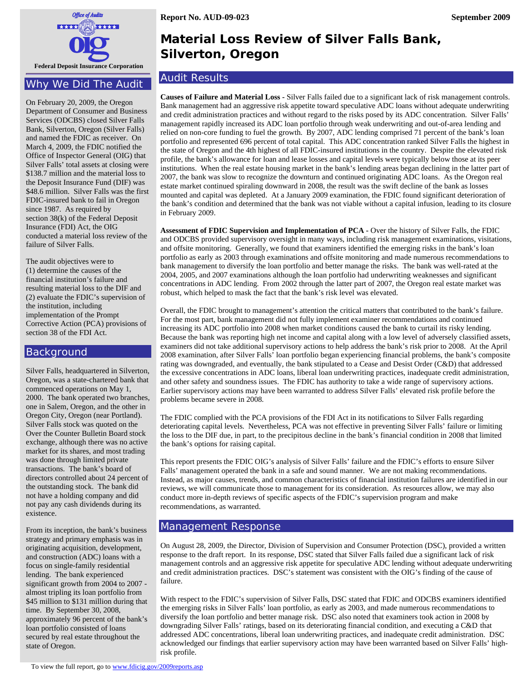

#### Why We Did The Audit

On February 20, 2009, the Oregon Department of Consumer and Business Services (ODCBS) closed Silver Falls Bank, Silverton, Oregon (Silver Falls) and named the FDIC as receiver. On March 4, 2009, the FDIC notified the Office of Inspector General (OIG) that Silver Falls' total assets at closing were \$138.7 million and the material loss to the Deposit Insurance Fund (DIF) was \$48.6 million. Silver Falls was the first FDIC-insured bank to fail in Oregon since 1987. As required by section 38(k) of the Federal Deposit Insurance (FDI) Act, the OIG conducted a material loss review of the failure of Silver Falls.

The audit objectives were to (1) determine the causes of the financial institution's failure and resulting material loss to the DIF and (2) evaluate the FDIC's supervision of the institution, including implementation of the Prompt Corrective Action (PCA) provisions of section 38 of the FDI Act.

#### Background

Silver Falls, headquartered in Silverton, Oregon, was a state-chartered bank that commenced operations on May 1, 2000. The bank operated two branches, one in Salem, Oregon, and the other in Oregon City, Oregon (near Portland). Silver Falls stock was quoted on the Over the Counter Bulletin Board stock exchange, although there was no active market for its shares, and most trading was done through limited private transactions. The bank's board of directors controlled about 24 percent of the outstanding stock. The bank did not have a holding company and did not pay any cash dividends during its existence.

From its inception, the bank's business strategy and primary emphasis was in originating acquisition, development, and construction (ADC) loans with a focus on single-family residential lending. The bank experienced significant growth from 2004 to 2007 almost tripling its loan portfolio from \$45 million to \$131 million during that time. By September 30, 2008, approximately 96 percent of the bank's loan portfolio consisted of loans secured by real estate throughout the state of Oregon.

# **Material Loss Review of Silver Falls Bank, Silverton, Oregon**

#### Audit Results

**Causes of Failure and Material Loss -** Silver Falls failed due to a significant lack of risk management controls. Bank management had an aggressive risk appetite toward speculative ADC loans without adequate underwriting and credit administration practices and without regard to the risks posed by its ADC concentration. Silver Falls' management rapidly increased its ADC loan portfolio through weak underwriting and out-of-area lending and relied on non-core funding to fuel the growth. By 2007, ADC lending comprised 71 percent of the bank's loan portfolio and represented 696 percent of total capital. This ADC concentration ranked Silver Falls the highest in the state of Oregon and the 4th highest of all FDIC-insured institutions in the country. Despite the elevated risk profile, the bank's allowance for loan and lease losses and capital levels were typically below those at its peer institutions. When the real estate housing market in the bank's lending areas began declining in the latter part of 2007, the bank was slow to recognize the downturn and continued originating ADC loans. As the Oregon real estate market continued spiraling downward in 2008, the result was the swift decline of the bank as losses mounted and capital was depleted. At a January 2009 examination, the FDIC found significant deterioration of the bank's condition and determined that the bank was not viable without a capital infusion, leading to its closure in February 2009.

**Assessment of FDIC Supervision and Implementation of PCA -** Over the history of Silver Falls, the FDIC and ODCBS provided supervisory oversight in many ways, including risk management examinations, visitations, and offsite monitoring. Generally, we found that examiners identified the emerging risks in the bank's loan portfolio as early as 2003 through examinations and offsite monitoring and made numerous recommendations to bank management to diversify the loan portfolio and better manage the risks. The bank was well-rated at the 2004, 2005, and 2007 examinations although the loan portfolio had underwriting weaknesses and significant concentrations in ADC lending. From 2002 through the latter part of 2007, the Oregon real estate market was robust, which helped to mask the fact that the bank's risk level was elevated.

Overall, the FDIC brought to management's attention the critical matters that contributed to the bank's failure. For the most part, bank management did not fully implement examiner recommendations and continued increasing its ADC portfolio into 2008 when market conditions caused the bank to curtail its risky lending. Because the bank was reporting high net income and capital along with a low level of adversely classified assets, examiners did not take additional supervisory actions to help address the bank's risk prior to 2008. At the April 2008 examination, after Silver Falls' loan portfolio began experiencing financial problems, the bank's composite rating was downgraded, and eventually, the bank stipulated to a Cease and Desist Order (C&D) that addressed the excessive concentrations in ADC loans, liberal loan underwriting practices, inadequate credit administration, and other safety and soundness issues. The FDIC has authority to take a wide range of supervisory actions. Earlier supervisory actions may have been warranted to address Silver Falls' elevated risk profile before the problems became severe in 2008.

The FDIC complied with the PCA provisions of the FDI Act in its notifications to Silver Falls regarding deteriorating capital levels. Nevertheless, PCA was not effective in preventing Silver Falls' failure or limiting the loss to the DIF due, in part, to the precipitous decline in the bank's financial condition in 2008 that limited the bank's options for raising capital.

This report presents the FDIC OIG's analysis of Silver Falls' failure and the FDIC's efforts to ensure Silver Falls' management operated the bank in a safe and sound manner. We are not making recommendations. Instead, as major causes, trends, and common characteristics of financial institution failures are identified in our reviews, we will communicate those to management for its consideration. As resources allow, we may also conduct more in-depth reviews of specific aspects of the FDIC's supervision program and make recommendations, as warranted.

#### Management Response

On August 28, 2009, the Director, Division of Supervision and Consumer Protection (DSC), provided a written response to the draft report. In its response, DSC stated that Silver Falls failed due a significant lack of risk management controls and an aggressive risk appetite for speculative ADC lending without adequate underwriting and credit administration practices. DSC's statement was consistent with the OIG's finding of the cause of failure.

With respect to the FDIC's supervision of Silver Falls, DSC stated that FDIC and ODCBS examiners identified the emerging risks in Silver Falls' loan portfolio, as early as 2003, and made numerous recommendations to diversify the loan portfolio and better manage risk. DSC also noted that examiners took action in 2008 by downgrading Silver Falls' ratings, based on its deteriorating financial condition, and executing a C&D that addressed ADC concentrations, liberal loan underwriting practices, and inadequate credit administration. DSC acknowledged our findings that earlier supervisory action may have been warranted based on Silver Falls' highrisk profile.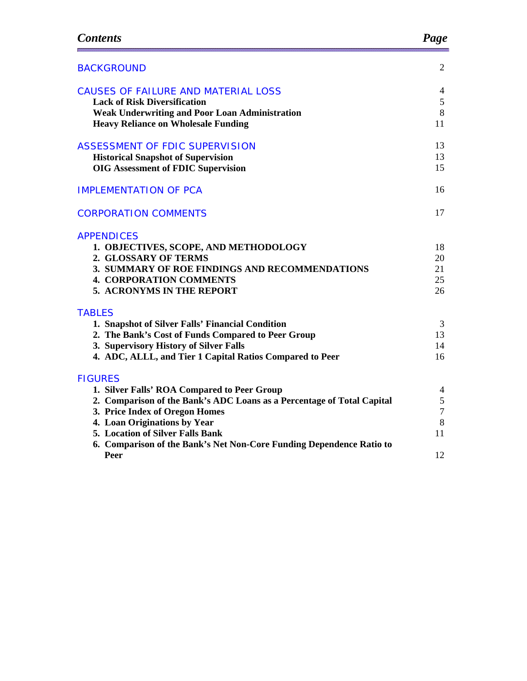| <b>BACKGROUND</b>                                                                                                                                                                                                                                                                                                             | $\overline{2}$                                          |
|-------------------------------------------------------------------------------------------------------------------------------------------------------------------------------------------------------------------------------------------------------------------------------------------------------------------------------|---------------------------------------------------------|
| <b>CAUSES OF FAILURE AND MATERIAL LOSS</b><br><b>Lack of Risk Diversification</b><br><b>Weak Underwriting and Poor Loan Administration</b><br><b>Heavy Reliance on Wholesale Funding</b>                                                                                                                                      | 4<br>5<br>8<br>11                                       |
| <b>ASSESSMENT OF FDIC SUPERVISION</b><br><b>Historical Snapshot of Supervision</b><br><b>OIG Assessment of FDIC Supervision</b>                                                                                                                                                                                               | 13<br>13<br>15                                          |
| <b>IMPLEMENTATION OF PCA</b>                                                                                                                                                                                                                                                                                                  | 16                                                      |
| <b>CORPORATION COMMENTS</b>                                                                                                                                                                                                                                                                                                   | 17                                                      |
| <b>APPENDICES</b><br>1. OBJECTIVES, SCOPE, AND METHODOLOGY<br>2. GLOSSARY OF TERMS<br>3. SUMMARY OF ROE FINDINGS AND RECOMMENDATIONS<br><b>4. CORPORATION COMMENTS</b><br>5. ACRONYMS IN THE REPORT                                                                                                                           | 18<br>20<br>21<br>25<br>26                              |
| <b>TABLES</b><br>1. Snapshot of Silver Falls' Financial Condition<br>2. The Bank's Cost of Funds Compared to Peer Group<br>3. Supervisory History of Silver Falls<br>4. ADC, ALLL, and Tier 1 Capital Ratios Compared to Peer                                                                                                 | 3<br>13<br>14<br>16                                     |
| <b>FIGURES</b><br>1. Silver Falls' ROA Compared to Peer Group<br>2. Comparison of the Bank's ADC Loans as a Percentage of Total Capital<br>3. Price Index of Oregon Homes<br>4. Loan Originations by Year<br>5. Location of Silver Falls Bank<br>6. Comparison of the Bank's Net Non-Core Funding Dependence Ratio to<br>Peer | 4<br>$\mathfrak s$<br>$\boldsymbol{7}$<br>8<br>11<br>12 |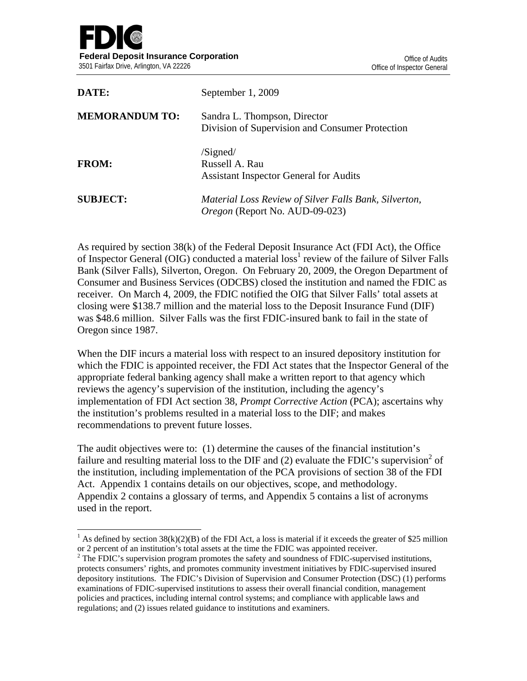$\overline{\phantom{a}}$ 

| DATE:                 | September 1, 2009                                                                              |
|-----------------------|------------------------------------------------------------------------------------------------|
| <b>MEMORANDUM TO:</b> | Sandra L. Thompson, Director<br>Division of Supervision and Consumer Protection                |
| <b>FROM:</b>          | /Signed/<br>Russell A. Rau<br><b>Assistant Inspector General for Audits</b>                    |
| <b>SUBJECT:</b>       | Material Loss Review of Silver Falls Bank, Silverton,<br><i>Oregon</i> (Report No. AUD-09-023) |

As required by section 38(k) of the Federal Deposit Insurance Act (FDI Act), the Office of Inspector General (OIG) conducted a material loss<sup>1</sup> review of the failure of Silver Falls Bank (Silver Falls), Silverton, Oregon. On February 20, 2009, the Oregon Department of Consumer and Business Services (ODCBS) closed the institution and named the FDIC as receiver. On March 4, 2009, the FDIC notified the OIG that Silver Falls' total assets at closing were \$138.7 million and the material loss to the Deposit Insurance Fund (DIF) was \$48.6 million. Silver Falls was the first FDIC-insured bank to fail in the state of Oregon since 1987.

When the DIF incurs a material loss with respect to an insured depository institution for which the FDIC is appointed receiver, the FDI Act states that the Inspector General of the appropriate federal banking agency shall make a written report to that agency which reviews the agency's supervision of the institution, including the agency's implementation of FDI Act section 38, *Prompt Corrective Action* (PCA); ascertains why the institution's problems resulted in a material loss to the DIF; and makes recommendations to prevent future losses.

The audit objectives were to: (1) determine the causes of the financial institution's failure and resulting material loss to the DIF and  $(2)$  evaluate the FDIC's supervision<sup>2</sup> of the institution, including implementation of the PCA provisions of section 38 of the FDI Act. Appendix 1 contains details on our objectives, scope, and methodology. Appendix 2 contains a glossary of terms, and Appendix 5 contains a list of acronyms used in the report.

<sup>&</sup>lt;sup>1</sup> As defined by section 38(k)(2)(B) of the FDI Act, a loss is material if it exceeds the greater of \$25 million or 2 percent of an institution's total assets at the time the FDIC was appointed receiver. 2

<sup>&</sup>lt;sup>2</sup> The FDIC's supervision program promotes the safety and soundness of FDIC-supervised institutions, protects consumers' rights, and promotes community investment initiatives by FDIC-supervised insured depository institutions. The FDIC's Division of Supervision and Consumer Protection (DSC) (1) performs examinations of FDIC-supervised institutions to assess their overall financial condition, management policies and practices, including internal control systems; and compliance with applicable laws and regulations; and (2) issues related guidance to institutions and examiners.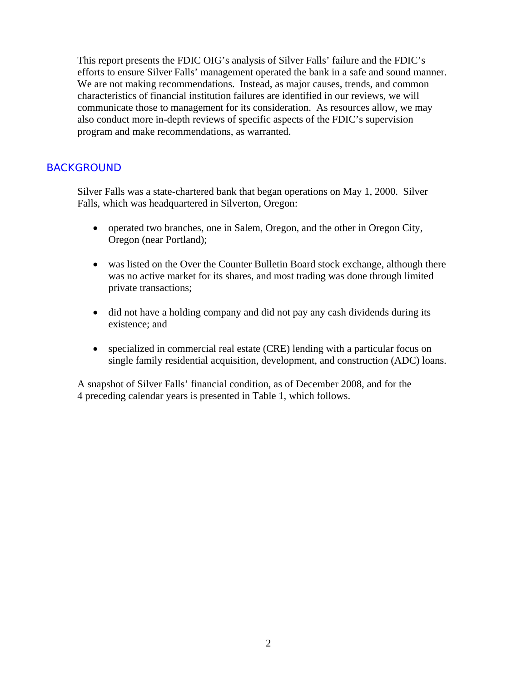This report presents the FDIC OIG's analysis of Silver Falls' failure and the FDIC's efforts to ensure Silver Falls' management operated the bank in a safe and sound manner. We are not making recommendations. Instead, as major causes, trends, and common characteristics of financial institution failures are identified in our reviews, we will communicate those to management for its consideration. As resources allow, we may also conduct more in-depth reviews of specific aspects of the FDIC's supervision program and make recommendations, as warranted.

#### BACKGROUND

Silver Falls was a state-chartered bank that began operations on May 1, 2000. Silver Falls, which was headquartered in Silverton, Oregon:

- operated two branches, one in Salem, Oregon, and the other in Oregon City, Oregon (near Portland);
- was listed on the Over the Counter Bulletin Board stock exchange, although there was no active market for its shares, and most trading was done through limited private transactions;
- did not have a holding company and did not pay any cash dividends during its existence; and
- specialized in commercial real estate (CRE) lending with a particular focus on single family residential acquisition, development, and construction (ADC) loans.

A snapshot of Silver Falls' financial condition, as of December 2008, and for the 4 preceding calendar years is presented in Table 1, which follows.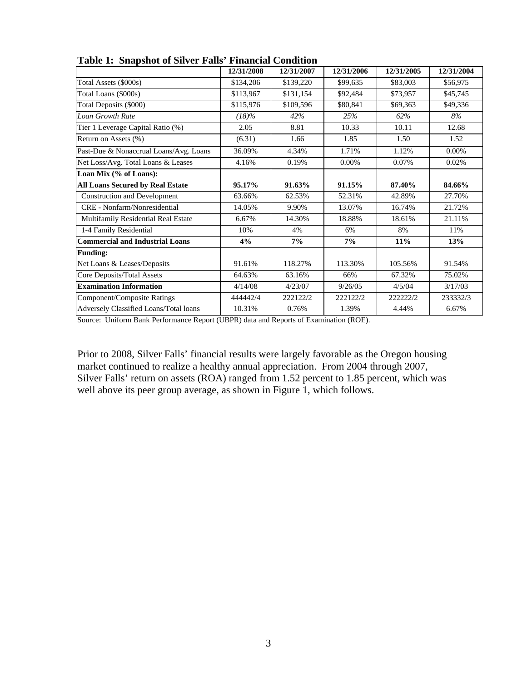| тарк 1. риаряют от ритет танр - гиански сопанови |            |            |            |            |            |
|--------------------------------------------------|------------|------------|------------|------------|------------|
|                                                  | 12/31/2008 | 12/31/2007 | 12/31/2006 | 12/31/2005 | 12/31/2004 |
| Total Assets (\$000s)                            | \$134,206  | \$139,220  | \$99,635   | \$83,003   | \$56,975   |
| Total Loans (\$000s)                             | \$113,967  | \$131,154  | \$92,484   | \$73,957   | \$45,745   |
| Total Deposits (\$000)                           | \$115,976  | \$109,596  | \$80,841   | \$69,363   | \$49,336   |
| <b>Loan Growth Rate</b>                          | $(18)\%$   | 42%        | 25%        | 62%        | 8%         |
| Tier 1 Leverage Capital Ratio (%)                | 2.05       | 8.81       | 10.33      | 10.11      | 12.68      |
| Return on Assets (%)                             | (6.31)     | 1.66       | 1.85       | 1.50       | 1.52       |
| Past-Due & Nonaccrual Loans/Avg. Loans           | 36.09%     | 4.34%      | 1.71%      | 1.12%      | 0.00%      |
| Net Loss/Avg. Total Loans & Leases               | 4.16%      | 0.19%      | $0.00\%$   | 0.07%      | 0.02%      |
| Loan Mix (% of Loans):                           |            |            |            |            |            |
| <b>All Loans Secured by Real Estate</b>          | 95.17%     | 91.63%     | 91.15%     | 87.40%     | 84.66%     |
| <b>Construction and Development</b>              | 63.66%     | 62.53%     | 52.31%     | 42.89%     | 27.70%     |
| CRE - Nonfarm/Nonresidential                     | 14.05%     | 9.90%      | 13.07%     | 16.74%     | 21.72%     |
| Multifamily Residential Real Estate              | 6.67%      | 14.30%     | 18.88%     | 18.61%     | 21.11%     |
| 1-4 Family Residential                           | 10%        | 4%         | 6%         | 8%         | 11%        |
| <b>Commercial and Industrial Loans</b>           | 4%         | 7%         | 7%         | 11%        | 13%        |
| <b>Funding:</b>                                  |            |            |            |            |            |
| Net Loans & Leases/Deposits                      | 91.61%     | 118.27%    | 113.30%    | 105.56%    | 91.54%     |
| Core Deposits/Total Assets                       | 64.63%     | 63.16%     | 66%        | 67.32%     | 75.02%     |
| <b>Examination Information</b>                   | 4/14/08    | 4/23/07    | 9/26/05    | 4/5/04     | 3/17/03    |
| Component/Composite Ratings                      | 444442/4   | 222122/2   | 222122/2   | 222222/2   | 233332/3   |
| Adversely Classified Loans/Total loans           | 10.31%     | 0.76%      | 1.39%      | 4.44%      | 6.67%      |

**Table 1: Snapshot of Silver Falls' Financial Condition** 

Source: Uniform Bank Performance Report (UBPR) data and Reports of Examination (ROE).

Prior to 2008, Silver Falls' financial results were largely favorable as the Oregon housing market continued to realize a healthy annual appreciation. From 2004 through 2007, Silver Falls' return on assets (ROA) ranged from 1.52 percent to 1.85 percent, which was well above its peer group average, as shown in Figure 1, which follows.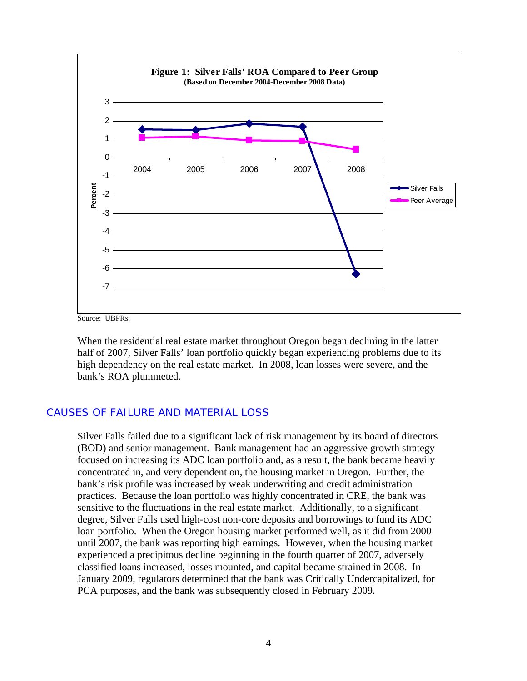

Source: UBPRs.

When the residential real estate market throughout Oregon began declining in the latter half of 2007, Silver Falls' loan portfolio quickly began experiencing problems due to its high dependency on the real estate market. In 2008, loan losses were severe, and the bank's ROA plummeted.

## CAUSES OF FAILURE AND MATERIAL LOSS

Silver Falls failed due to a significant lack of risk management by its board of directors (BOD) and senior management. Bank management had an aggressive growth strategy focused on increasing its ADC loan portfolio and, as a result, the bank became heavily concentrated in, and very dependent on, the housing market in Oregon. Further, the bank's risk profile was increased by weak underwriting and credit administration practices. Because the loan portfolio was highly concentrated in CRE, the bank was sensitive to the fluctuations in the real estate market. Additionally, to a significant degree, Silver Falls used high-cost non-core deposits and borrowings to fund its ADC loan portfolio. When the Oregon housing market performed well, as it did from 2000 until 2007, the bank was reporting high earnings. However, when the housing market experienced a precipitous decline beginning in the fourth quarter of 2007, adversely classified loans increased, losses mounted, and capital became strained in 2008. In January 2009, regulators determined that the bank was Critically Undercapitalized, for PCA purposes, and the bank was subsequently closed in February 2009.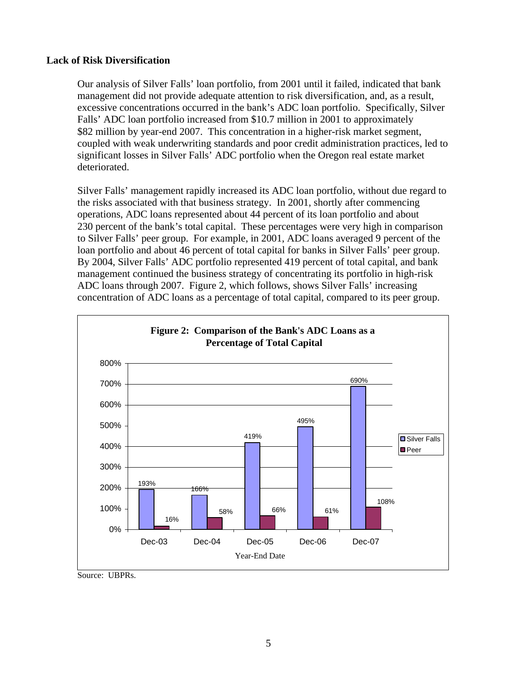#### **Lack of Risk Diversification**

Our analysis of Silver Falls' loan portfolio, from 2001 until it failed, indicated that bank management did not provide adequate attention to risk diversification, and, as a result, excessive concentrations occurred in the bank's ADC loan portfolio. Specifically, Silver Falls' ADC loan portfolio increased from \$10.7 million in 2001 to approximately \$82 million by year-end 2007. This concentration in a higher-risk market segment, coupled with weak underwriting standards and poor credit administration practices, led to significant losses in Silver Falls' ADC portfolio when the Oregon real estate market deteriorated.

Silver Falls' management rapidly increased its ADC loan portfolio, without due regard to the risks associated with that business strategy. In 2001, shortly after commencing operations, ADC loans represented about 44 percent of its loan portfolio and about 230 percent of the bank's total capital. These percentages were very high in comparison to Silver Falls' peer group. For example, in 2001, ADC loans averaged 9 percent of the loan portfolio and about 46 percent of total capital for banks in Silver Falls' peer group. By 2004, Silver Falls' ADC portfolio represented 419 percent of total capital, and bank management continued the business strategy of concentrating its portfolio in high-risk ADC loans through 2007. Figure 2, which follows, shows Silver Falls' increasing concentration of ADC loans as a percentage of total capital, compared to its peer group.



Source: UBPRs.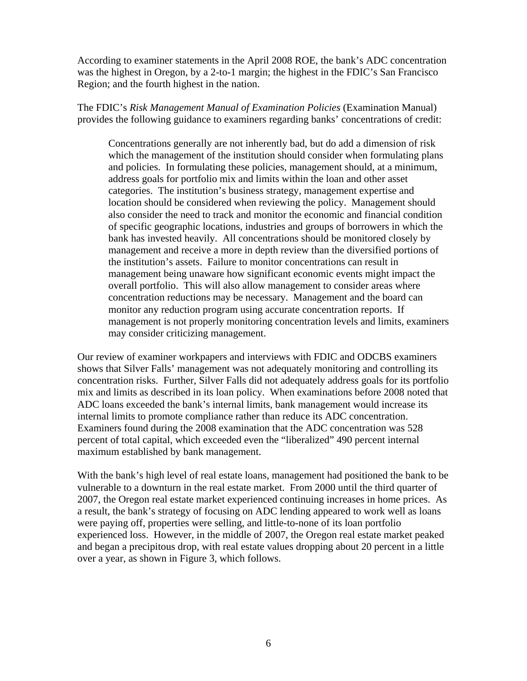According to examiner statements in the April 2008 ROE, the bank's ADC concentration was the highest in Oregon, by a 2-to-1 margin; the highest in the FDIC's San Francisco Region; and the fourth highest in the nation.

The FDIC's *Risk Management Manual of Examination Policies* (Examination Manual) provides the following guidance to examiners regarding banks' concentrations of credit:

Concentrations generally are not inherently bad, but do add a dimension of risk which the management of the institution should consider when formulating plans and policies. In formulating these policies, management should, at a minimum, address goals for portfolio mix and limits within the loan and other asset categories. The institution's business strategy, management expertise and location should be considered when reviewing the policy. Management should also consider the need to track and monitor the economic and financial condition of specific geographic locations, industries and groups of borrowers in which the bank has invested heavily. All concentrations should be monitored closely by management and receive a more in depth review than the diversified portions of the institution's assets. Failure to monitor concentrations can result in management being unaware how significant economic events might impact the overall portfolio. This will also allow management to consider areas where concentration reductions may be necessary. Management and the board can monitor any reduction program using accurate concentration reports. If management is not properly monitoring concentration levels and limits, examiners may consider criticizing management.

Our review of examiner workpapers and interviews with FDIC and ODCBS examiners shows that Silver Falls' management was not adequately monitoring and controlling its concentration risks. Further, Silver Falls did not adequately address goals for its portfolio mix and limits as described in its loan policy. When examinations before 2008 noted that ADC loans exceeded the bank's internal limits, bank management would increase its internal limits to promote compliance rather than reduce its ADC concentration. Examiners found during the 2008 examination that the ADC concentration was 528 percent of total capital, which exceeded even the "liberalized" 490 percent internal maximum established by bank management.

With the bank's high level of real estate loans, management had positioned the bank to be vulnerable to a downturn in the real estate market. From 2000 until the third quarter of 2007, the Oregon real estate market experienced continuing increases in home prices. As a result, the bank's strategy of focusing on ADC lending appeared to work well as loans were paying off, properties were selling, and little-to-none of its loan portfolio experienced loss. However, in the middle of 2007, the Oregon real estate market peaked and began a precipitous drop, with real estate values dropping about 20 percent in a little over a year, as shown in Figure 3, which follows.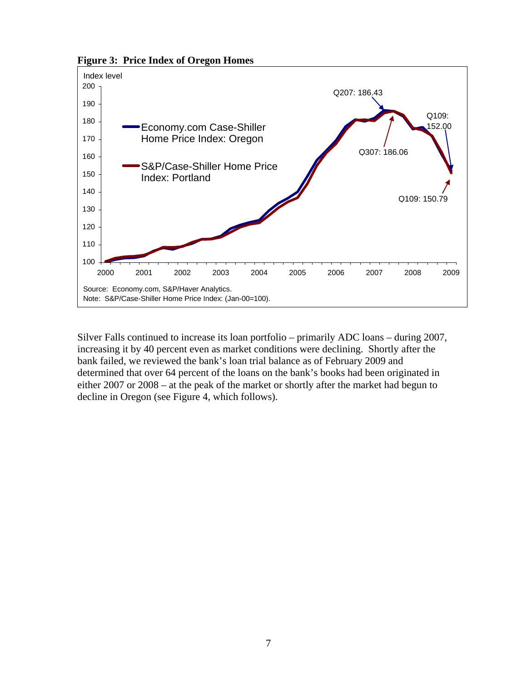**Figure 3: Price Index of Oregon Homes**



Silver Falls continued to increase its loan portfolio – primarily ADC loans – during 2007, increasing it by 40 percent even as market conditions were declining. Shortly after the bank failed, we reviewed the bank's loan trial balance as of February 2009 and determined that over 64 percent of the loans on the bank's books had been originated in either 2007 or 2008 – at the peak of the market or shortly after the market had begun to decline in Oregon (see Figure 4, which follows).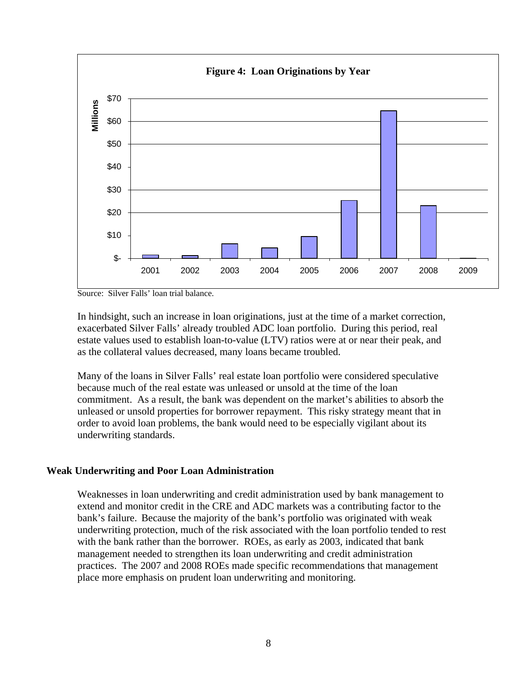

Source: Silver Falls' loan trial balance.

In hindsight, such an increase in loan originations, just at the time of a market correction, exacerbated Silver Falls' already troubled ADC loan portfolio. During this period, real estate values used to establish loan-to-value (LTV) ratios were at or near their peak, and as the collateral values decreased, many loans became troubled.

Many of the loans in Silver Falls' real estate loan portfolio were considered speculative because much of the real estate was unleased or unsold at the time of the loan commitment. As a result, the bank was dependent on the market's abilities to absorb the unleased or unsold properties for borrower repayment. This risky strategy meant that in order to avoid loan problems, the bank would need to be especially vigilant about its underwriting standards.

#### **Weak Underwriting and Poor Loan Administration**

Weaknesses in loan underwriting and credit administration used by bank management to extend and monitor credit in the CRE and ADC markets was a contributing factor to the bank's failure.Because the majority of the bank's portfolio was originated with weak underwriting protection, much of the risk associated with the loan portfolio tended to rest with the bank rather than the borrower. ROEs, as early as 2003, indicated that bank management needed to strengthen its loan underwriting and credit administration practices. The 2007 and 2008 ROEs made specific recommendations that management place more emphasis on prudent loan underwriting and monitoring.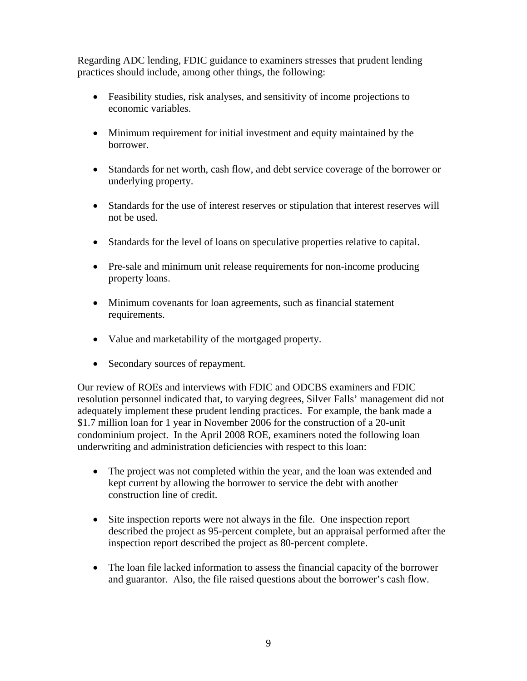Regarding ADC lending, FDIC guidance to examiners stresses that prudent lending practices should include, among other things, the following:

- Feasibility studies, risk analyses, and sensitivity of income projections to economic variables.
- Minimum requirement for initial investment and equity maintained by the borrower.
- Standards for net worth, cash flow, and debt service coverage of the borrower or underlying property.
- Standards for the use of interest reserves or stipulation that interest reserves will not be used.
- Standards for the level of loans on speculative properties relative to capital.
- Pre-sale and minimum unit release requirements for non-income producing property loans.
- Minimum covenants for loan agreements, such as financial statement requirements.
- Value and marketability of the mortgaged property.
- Secondary sources of repayment.

Our review of ROEs and interviews with FDIC and ODCBS examiners and FDIC resolution personnel indicated that, to varying degrees, Silver Falls' management did not adequately implement these prudent lending practices. For example, the bank made a \$1.7 million loan for 1 year in November 2006 for the construction of a 20-unit condominium project. In the April 2008 ROE, examiners noted the following loan underwriting and administration deficiencies with respect to this loan:

- The project was not completed within the year, and the loan was extended and kept current by allowing the borrower to service the debt with another construction line of credit.
- Site inspection reports were not always in the file. One inspection report described the project as 95-percent complete, but an appraisal performed after the inspection report described the project as 80-percent complete.
- The loan file lacked information to assess the financial capacity of the borrower and guarantor. Also, the file raised questions about the borrower's cash flow.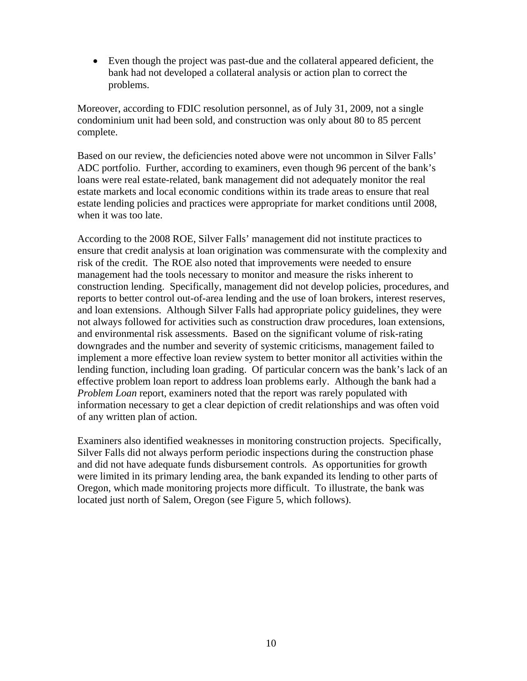• Even though the project was past-due and the collateral appeared deficient, the bank had not developed a collateral analysis or action plan to correct the problems.

Moreover, according to FDIC resolution personnel, as of July 31, 2009, not a single condominium unit had been sold, and construction was only about 80 to 85 percent complete.

Based on our review, the deficiencies noted above were not uncommon in Silver Falls' ADC portfolio. Further, according to examiners, even though 96 percent of the bank's loans were real estate-related, bank management did not adequately monitor the real estate markets and local economic conditions within its trade areas to ensure that real estate lending policies and practices were appropriate for market conditions until 2008, when it was too late.

According to the 2008 ROE, Silver Falls' management did not institute practices to ensure that credit analysis at loan origination was commensurate with the complexity and risk of the credit. The ROE also noted that improvements were needed to ensure management had the tools necessary to monitor and measure the risks inherent to construction lending. Specifically, management did not develop policies, procedures, and reports to better control out-of-area lending and the use of loan brokers, interest reserves, and loan extensions. Although Silver Falls had appropriate policy guidelines, they were not always followed for activities such as construction draw procedures, loan extensions, and environmental risk assessments. Based on the significant volume of risk-rating downgrades and the number and severity of systemic criticisms, management failed to implement a more effective loan review system to better monitor all activities within the lending function, including loan grading. Of particular concern was the bank's lack of an effective problem loan report to address loan problems early. Although the bank had a *Problem Loan* report, examiners noted that the report was rarely populated with information necessary to get a clear depiction of credit relationships and was often void of any written plan of action.

Examiners also identified weaknesses in monitoring construction projects. Specifically, Silver Falls did not always perform periodic inspections during the construction phase and did not have adequate funds disbursement controls. As opportunities for growth were limited in its primary lending area, the bank expanded its lending to other parts of Oregon, which made monitoring projects more difficult. To illustrate, the bank was located just north of Salem, Oregon (see Figure 5, which follows).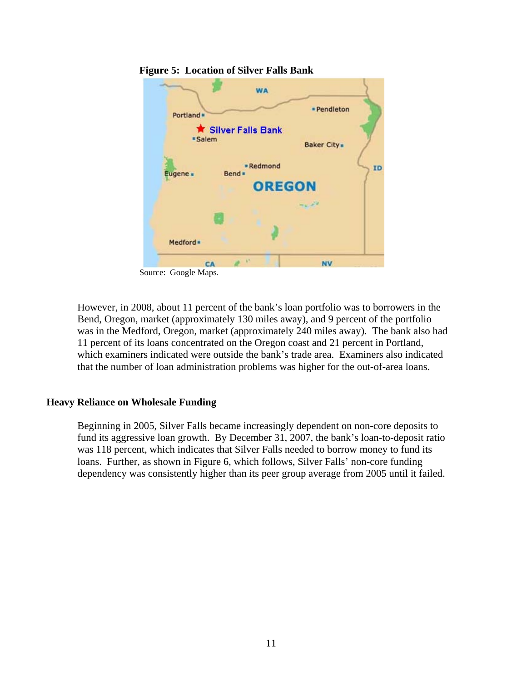

 **Figure 5: Location of Silver Falls Bank** 

Source: Google Maps.

However, in 2008, about 11 percent of the bank's loan portfolio was to borrowers in the Bend, Oregon, market (approximately 130 miles away), and 9 percent of the portfolio was in the Medford, Oregon, market (approximately 240 miles away). The bank also had 11 percent of its loans concentrated on the Oregon coast and 21 percent in Portland, which examiners indicated were outside the bank's trade area. Examiners also indicated that the number of loan administration problems was higher for the out-of-area loans.

#### **Heavy Reliance on Wholesale Funding**

Beginning in 2005, Silver Falls became increasingly dependent on non-core deposits to fund its aggressive loan growth. By December 31, 2007, the bank's loan-to-deposit ratio was 118 percent, which indicates that Silver Falls needed to borrow money to fund its loans. Further, as shown in Figure 6, which follows, Silver Falls' non-core funding dependency was consistently higher than its peer group average from 2005 until it failed.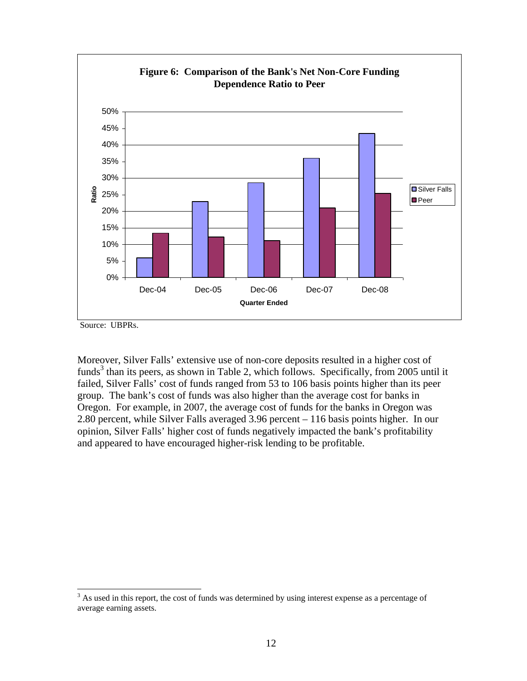

Source: UBPRs.

 $\overline{\phantom{a}}$ 

Moreover, Silver Falls' extensive use of non-core deposits resulted in a higher cost of funds<sup>3</sup> than its peers, as shown in Table 2, which follows. Specifically, from 2005 until it failed, Silver Falls' cost of funds ranged from 53 to 106 basis points higher than its peer group. The bank's cost of funds was also higher than the average cost for banks in Oregon. For example, in 2007, the average cost of funds for the banks in Oregon was 2.80 percent, while Silver Falls averaged 3.96 percent – 116 basis points higher. In our opinion, Silver Falls' higher cost of funds negatively impacted the bank's profitability and appeared to have encouraged higher-risk lending to be profitable.

 $3$  As used in this report, the cost of funds was determined by using interest expense as a percentage of average earning assets.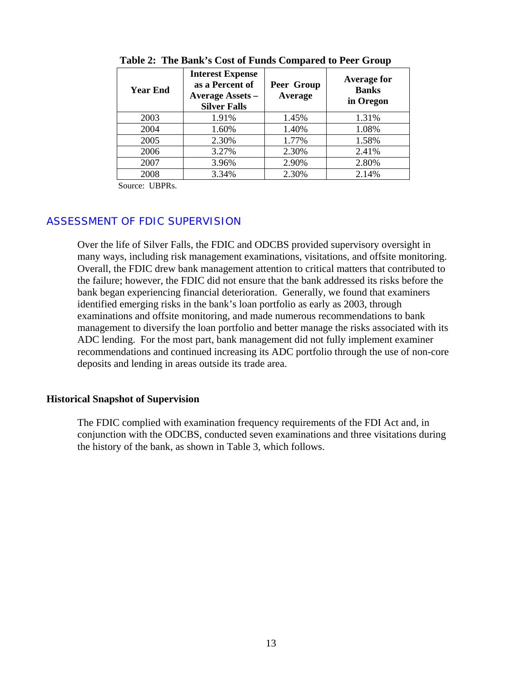| <b>Year End</b> | <b>Interest Expense</b><br>as a Percent of<br><b>Average Assets -</b><br><b>Silver Falls</b> | Peer Group<br>Average | <b>Average for</b><br><b>Banks</b><br>in Oregon |
|-----------------|----------------------------------------------------------------------------------------------|-----------------------|-------------------------------------------------|
| 2003            | 1.91%                                                                                        | 1.45%                 | 1.31%                                           |
| 2004            | 1.60%                                                                                        | 1.40%                 | 1.08%                                           |
| 2005            | 2.30%                                                                                        | 1.77%                 | 1.58%                                           |
| 2006            | 3.27%                                                                                        | 2.30%                 | 2.41%                                           |
| 2007            | 3.96%                                                                                        | 2.90%                 | 2.80%                                           |
| 2008            | 3.34%                                                                                        | 2.30%                 | 2.14%                                           |

**Table 2: The Bank's Cost of Funds Compared to Peer Group** 

Source: UBPRs.

#### ASSESSMENT OF FDIC SUPERVISION

Over the life of Silver Falls, the FDIC and ODCBS provided supervisory oversight in many ways, including risk management examinations, visitations, and offsite monitoring. Overall, the FDIC drew bank management attention to critical matters that contributed to the failure; however, the FDIC did not ensure that the bank addressed its risks before the bank began experiencing financial deterioration. Generally, we found that examiners identified emerging risks in the bank's loan portfolio as early as 2003, through examinations and offsite monitoring, and made numerous recommendations to bank management to diversify the loan portfolio and better manage the risks associated with its ADC lending. For the most part, bank management did not fully implement examiner recommendations and continued increasing its ADC portfolio through the use of non-core deposits and lending in areas outside its trade area.

#### **Historical Snapshot of Supervision**

The FDIC complied with examination frequency requirements of the FDI Act and, in conjunction with the ODCBS, conducted seven examinations and three visitations during the history of the bank, as shown in Table 3, which follows.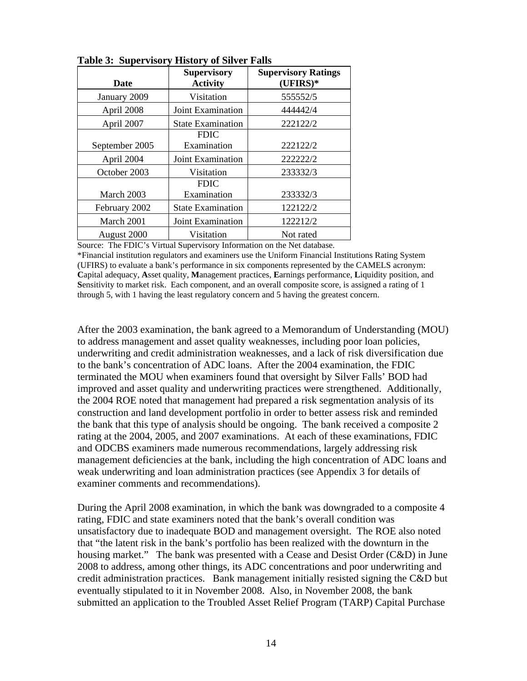| <b>Date</b>    | <b>Supervisory</b><br><b>Activity</b> | <b>Supervisory Ratings</b><br>$(UFIRS)*$ |
|----------------|---------------------------------------|------------------------------------------|
| January 2009   | Visitation                            | 555552/5                                 |
| April 2008     | Joint Examination                     | 444442/4                                 |
| April 2007     | <b>State Examination</b>              | 222122/2                                 |
|                | <b>FDIC</b>                           |                                          |
| September 2005 | Examination                           | 222122/2                                 |
| April 2004     | <b>Joint Examination</b>              | 222222/2                                 |
| October 2003   | Visitation                            | 233332/3                                 |
|                | <b>FDIC</b>                           |                                          |
| March 2003     | Examination                           | 233332/3                                 |
| February 2002  | <b>State Examination</b>              | 122122/2                                 |
| March 2001     | Joint Examination                     | 122212/2                                 |
| August 2000    | Visitation                            | Not rated                                |

**Table 3: Supervisory History of Silver Falls** 

Source: The FDIC's Virtual Supervisory Information on the Net database.

\*Financial institution regulators and examiners use the Uniform Financial Institutions Rating System (UFIRS) to evaluate a bank's performance in six components represented by the CAMELS acronym: **C**apital adequacy, **A**sset quality, **M**anagement practices, **E**arnings performance, **L**iquidity position, and **S**ensitivity to market risk. Each component, and an overall composite score, is assigned a rating of 1 through 5, with 1 having the least regulatory concern and 5 having the greatest concern.

After the 2003 examination, the bank agreed to a Memorandum of Understanding (MOU) to address management and asset quality weaknesses, including poor loan policies, underwriting and credit administration weaknesses, and a lack of risk diversification due to the bank's concentration of ADC loans. After the 2004 examination, the FDIC terminated the MOU when examiners found that oversight by Silver Falls' BOD had improved and asset quality and underwriting practices were strengthened. Additionally, the 2004 ROE noted that management had prepared a risk segmentation analysis of its construction and land development portfolio in order to better assess risk and reminded the bank that this type of analysis should be ongoing. The bank received a composite 2 rating at the 2004, 2005, and 2007 examinations. At each of these examinations, FDIC and ODCBS examiners made numerous recommendations, largely addressing risk management deficiencies at the bank, including the high concentration of ADC loans and weak underwriting and loan administration practices (see Appendix 3 for details of examiner comments and recommendations).

During the April 2008 examination, in which the bank was downgraded to a composite 4 rating, FDIC and state examiners noted that the bank's overall condition was unsatisfactory due to inadequate BOD and management oversight. The ROE also noted that "the latent risk in the bank's portfolio has been realized with the downturn in the housing market." The bank was presented with a Cease and Desist Order (C&D) in June 2008 to address, among other things, its ADC concentrations and poor underwriting and credit administration practices. Bank management initially resisted signing the C&D but eventually stipulated to it in November 2008. Also, in November 2008, the bank submitted an application to the Troubled Asset Relief Program (TARP) Capital Purchase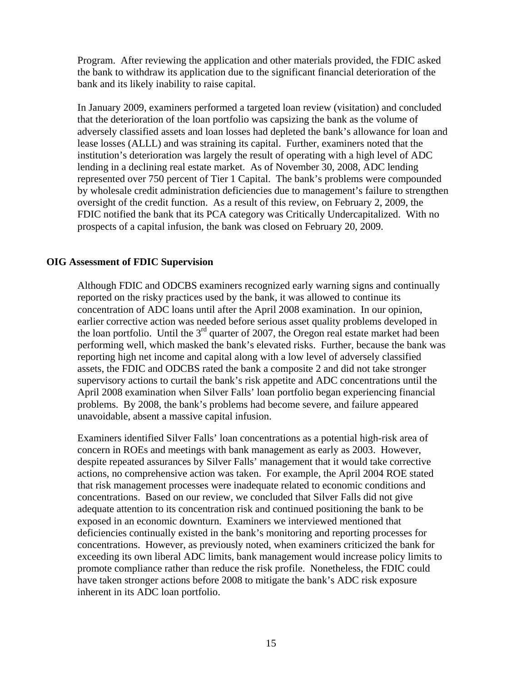Program. After reviewing the application and other materials provided, the FDIC asked the bank to withdraw its application due to the significant financial deterioration of the bank and its likely inability to raise capital.

In January 2009, examiners performed a targeted loan review (visitation) and concluded that the deterioration of the loan portfolio was capsizing the bank as the volume of adversely classified assets and loan losses had depleted the bank's allowance for loan and lease losses (ALLL) and was straining its capital. Further, examiners noted that the institution's deterioration was largely the result of operating with a high level of ADC lending in a declining real estate market. As of November 30, 2008, ADC lending represented over 750 percent of Tier 1 Capital. The bank's problems were compounded by wholesale credit administration deficiencies due to management's failure to strengthen oversight of the credit function. As a result of this review, on February 2, 2009, the FDIC notified the bank that its PCA category was Critically Undercapitalized. With no prospects of a capital infusion, the bank was closed on February 20, 2009.

#### **OIG Assessment of FDIC Supervision**

Although FDIC and ODCBS examiners recognized early warning signs and continually reported on the risky practices used by the bank, it was allowed to continue its concentration of ADC loans until after the April 2008 examination. In our opinion, earlier corrective action was needed before serious asset quality problems developed in the loan portfolio. Until the  $3<sup>rd</sup>$  quarter of 2007, the Oregon real estate market had been performing well, which masked the bank's elevated risks. Further, because the bank was reporting high net income and capital along with a low level of adversely classified assets, the FDIC and ODCBS rated the bank a composite 2 and did not take stronger supervisory actions to curtail the bank's risk appetite and ADC concentrations until the April 2008 examination when Silver Falls' loan portfolio began experiencing financial problems. By 2008, the bank's problems had become severe, and failure appeared unavoidable, absent a massive capital infusion.

Examiners identified Silver Falls' loan concentrations as a potential high-risk area of concern in ROEs and meetings with bank management as early as 2003. However, despite repeated assurances by Silver Falls' management that it would take corrective actions, no comprehensive action was taken. For example, the April 2004 ROE stated that risk management processes were inadequate related to economic conditions and concentrations. Based on our review, we concluded that Silver Falls did not give adequate attention to its concentration risk and continued positioning the bank to be exposed in an economic downturn. Examiners we interviewed mentioned that deficiencies continually existed in the bank's monitoring and reporting processes for concentrations. However, as previously noted, when examiners criticized the bank for exceeding its own liberal ADC limits, bank management would increase policy limits to promote compliance rather than reduce the risk profile. Nonetheless, the FDIC could have taken stronger actions before 2008 to mitigate the bank's ADC risk exposure inherent in its ADC loan portfolio.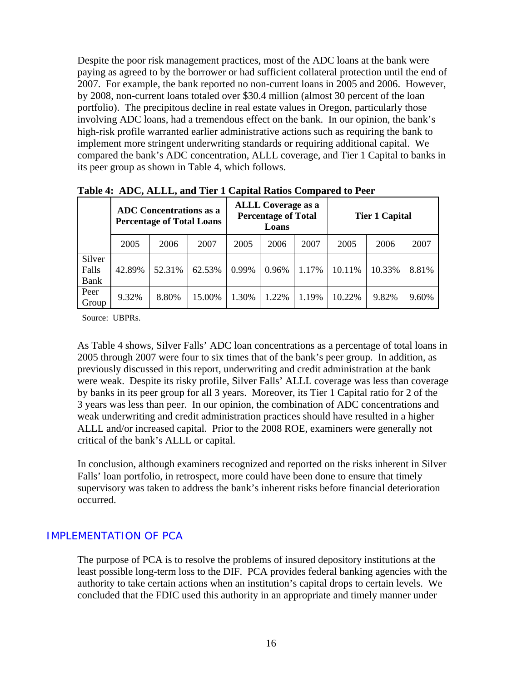Despite the poor risk management practices, most of the ADC loans at the bank were paying as agreed to by the borrower or had sufficient collateral protection until the end of 2007. For example, the bank reported no non-current loans in 2005 and 2006. However, by 2008, non-current loans totaled over \$30.4 million (almost 30 percent of the loan portfolio). The precipitous decline in real estate values in Oregon, particularly those involving ADC loans, had a tremendous effect on the bank. In our opinion, the bank's high-risk profile warranted earlier administrative actions such as requiring the bank to implement more stringent underwriting standards or requiring additional capital. We compared the bank's ADC concentration, ALLL coverage, and Tier 1 Capital to banks in its peer group as shown in Table 4, which follows.

|                         | <b>ADC</b> Concentrations as a<br><b>Percentage of Total Loans</b> |        |        | <b>ALLL Coverage as a</b><br><b>Percentage of Total</b><br>Loans |       |       | <b>Tier 1 Capital</b> |        |       |
|-------------------------|--------------------------------------------------------------------|--------|--------|------------------------------------------------------------------|-------|-------|-----------------------|--------|-------|
|                         | 2005                                                               | 2006   | 2007   | 2005                                                             | 2006  | 2007  | 2005                  | 2006   | 2007  |
| Silver<br>Falls<br>Bank | 42.89%                                                             | 52.31% | 62.53% | 0.99%                                                            | 0.96% | 1.17% | 10.11%                | 10.33% | 8.81% |
| Peer<br>Group           | 9.32%                                                              | 8.80%  | 15.00% | 1.30%                                                            | 1.22% | 1.19% | 10.22%                | 9.82%  | 9.60% |

**Table 4: ADC, ALLL, and Tier 1 Capital Ratios Compared to Peer** 

Source: UBPRs.

As Table 4 shows, Silver Falls' ADC loan concentrations as a percentage of total loans in 2005 through 2007 were four to six times that of the bank's peer group. In addition, as previously discussed in this report, underwriting and credit administration at the bank were weak. Despite its risky profile, Silver Falls' ALLL coverage was less than coverage by banks in its peer group for all 3 years. Moreover, its Tier 1 Capital ratio for 2 of the 3 years was less than peer. In our opinion, the combination of ADC concentrations and weak underwriting and credit administration practices should have resulted in a higher ALLL and/or increased capital. Prior to the 2008 ROE, examiners were generally not critical of the bank's ALLL or capital.

In conclusion, although examiners recognized and reported on the risks inherent in Silver Falls' loan portfolio, in retrospect, more could have been done to ensure that timely supervisory was taken to address the bank's inherent risks before financial deterioration occurred.

#### IMPLEMENTATION OF PCA

The purpose of PCA is to resolve the problems of insured depository institutions at the least possible long-term loss to the DIF. PCA provides federal banking agencies with the authority to take certain actions when an institution's capital drops to certain levels. We concluded that the FDIC used this authority in an appropriate and timely manner under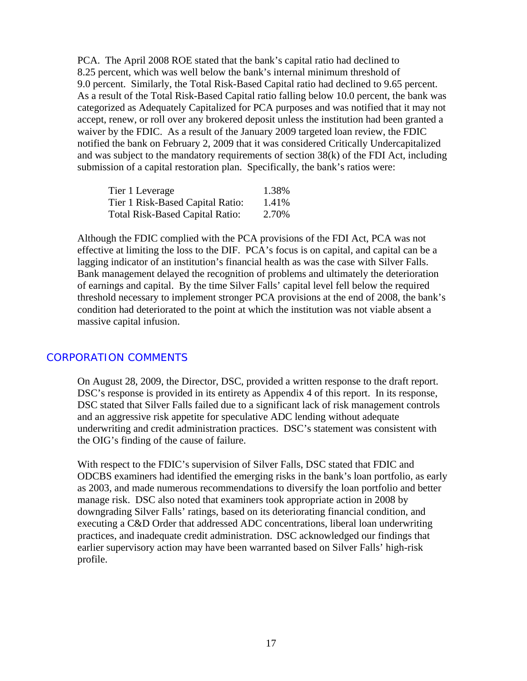PCA. The April 2008 ROE stated that the bank's capital ratio had declined to 8.25 percent, which was well below the bank's internal minimum threshold of 9.0 percent. Similarly, the Total Risk-Based Capital ratio had declined to 9.65 percent. As a result of the Total Risk-Based Capital ratio falling below 10.0 percent, the bank was categorized as Adequately Capitalized for PCA purposes and was notified that it may not accept, renew, or roll over any brokered deposit unless the institution had been granted a waiver by the FDIC. As a result of the January 2009 targeted loan review, the FDIC notified the bank on February 2, 2009 that it was considered Critically Undercapitalized and was subject to the mandatory requirements of section 38(k) of the FDI Act, including submission of a capital restoration plan. Specifically, the bank's ratios were:

| Tier 1 Leverage                        | 1.38% |
|----------------------------------------|-------|
| Tier 1 Risk-Based Capital Ratio:       | 1.41% |
| <b>Total Risk-Based Capital Ratio:</b> | 2.70% |

Although the FDIC complied with the PCA provisions of the FDI Act, PCA was not effective at limiting the loss to the DIF. PCA's focus is on capital, and capital can be a lagging indicator of an institution's financial health as was the case with Silver Falls. Bank management delayed the recognition of problems and ultimately the deterioration of earnings and capital. By the time Silver Falls' capital level fell below the required threshold necessary to implement stronger PCA provisions at the end of 2008, the bank's condition had deteriorated to the point at which the institution was not viable absent a massive capital infusion.

#### CORPORATION COMMENTS

On August 28, 2009, the Director, DSC, provided a written response to the draft report. DSC's response is provided in its entirety as Appendix 4 of this report. In its response, DSC stated that Silver Falls failed due to a significant lack of risk management controls and an aggressive risk appetite for speculative ADC lending without adequate underwriting and credit administration practices. DSC's statement was consistent with the OIG's finding of the cause of failure.

With respect to the FDIC's supervision of Silver Falls, DSC stated that FDIC and ODCBS examiners had identified the emerging risks in the bank's loan portfolio, as early as 2003, and made numerous recommendations to diversify the loan portfolio and better manage risk. DSC also noted that examiners took appropriate action in 2008 by downgrading Silver Falls' ratings, based on its deteriorating financial condition, and executing a C&D Order that addressed ADC concentrations, liberal loan underwriting practices, and inadequate credit administration. DSC acknowledged our findings that earlier supervisory action may have been warranted based on Silver Falls' high-risk profile.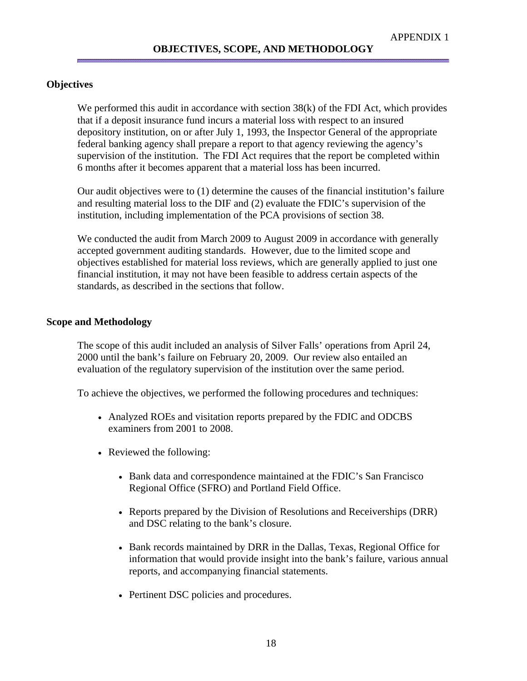#### **Objectives**

We performed this audit in accordance with section 38(k) of the FDI Act, which provides that if a deposit insurance fund incurs a material loss with respect to an insured depository institution, on or after July 1, 1993, the Inspector General of the appropriate federal banking agency shall prepare a report to that agency reviewing the agency's supervision of the institution. The FDI Act requires that the report be completed within 6 months after it becomes apparent that a material loss has been incurred.

Our audit objectives were to (1) determine the causes of the financial institution's failure and resulting material loss to the DIF and (2) evaluate the FDIC's supervision of the institution, including implementation of the PCA provisions of section 38.

We conducted the audit from March 2009 to August 2009 in accordance with generally accepted government auditing standards. However, due to the limited scope and objectives established for material loss reviews, which are generally applied to just one financial institution, it may not have been feasible to address certain aspects of the standards, as described in the sections that follow.

#### **Scope and Methodology**

The scope of this audit included an analysis of Silver Falls' operations from April 24, 2000 until the bank's failure on February 20, 2009. Our review also entailed an evaluation of the regulatory supervision of the institution over the same period.

To achieve the objectives, we performed the following procedures and techniques:

- Analyzed ROEs and visitation reports prepared by the FDIC and ODCBS examiners from 2001 to 2008.
- Reviewed the following:
	- Bank data and correspondence maintained at the FDIC's San Francisco Regional Office (SFRO) and Portland Field Office.
	- Reports prepared by the Division of Resolutions and Receiverships (DRR) and DSC relating to the bank's closure.
	- Bank records maintained by DRR in the Dallas, Texas, Regional Office for information that would provide insight into the bank's failure, various annual reports, and accompanying financial statements.
	- Pertinent DSC policies and procedures.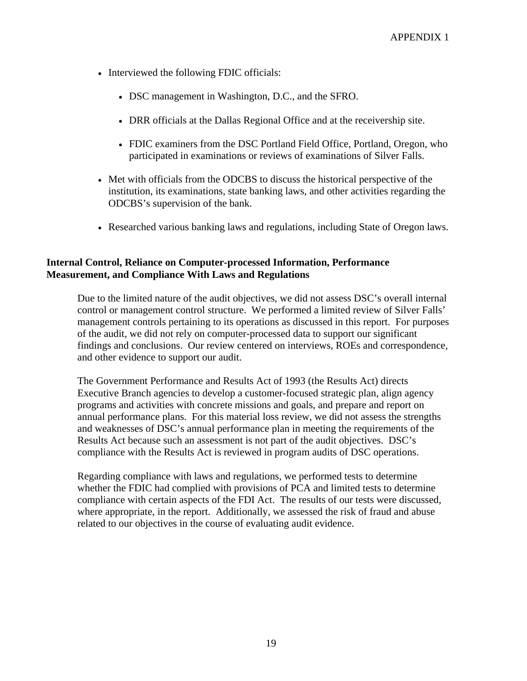- Interviewed the following FDIC officials:
	- DSC management in Washington, D.C., and the SFRO.
	- DRR officials at the Dallas Regional Office and at the receivership site.
	- FDIC examiners from the DSC Portland Field Office, Portland, Oregon, who participated in examinations or reviews of examinations of Silver Falls.
- Met with officials from the ODCBS to discuss the historical perspective of the institution, its examinations, state banking laws, and other activities regarding the ODCBS's supervision of the bank.
- Researched various banking laws and regulations, including State of Oregon laws.

#### **Internal Control, Reliance on Computer-processed Information, Performance Measurement, and Compliance With Laws and Regulations**

Due to the limited nature of the audit objectives, we did not assess DSC's overall internal control or management control structure. We performed a limited review of Silver Falls' management controls pertaining to its operations as discussed in this report. For purposes of the audit, we did not rely on computer-processed data to support our significant findings and conclusions. Our review centered on interviews, ROEs and correspondence, and other evidence to support our audit.

The Government Performance and Results Act of 1993 (the Results Act) directs Executive Branch agencies to develop a customer-focused strategic plan, align agency programs and activities with concrete missions and goals, and prepare and report on annual performance plans. For this material loss review, we did not assess the strengths and weaknesses of DSC's annual performance plan in meeting the requirements of the Results Act because such an assessment is not part of the audit objectives. DSC's compliance with the Results Act is reviewed in program audits of DSC operations.

Regarding compliance with laws and regulations, we performed tests to determine whether the FDIC had complied with provisions of PCA and limited tests to determine compliance with certain aspects of the FDI Act. The results of our tests were discussed, where appropriate, in the report. Additionally, we assessed the risk of fraud and abuse related to our objectives in the course of evaluating audit evidence.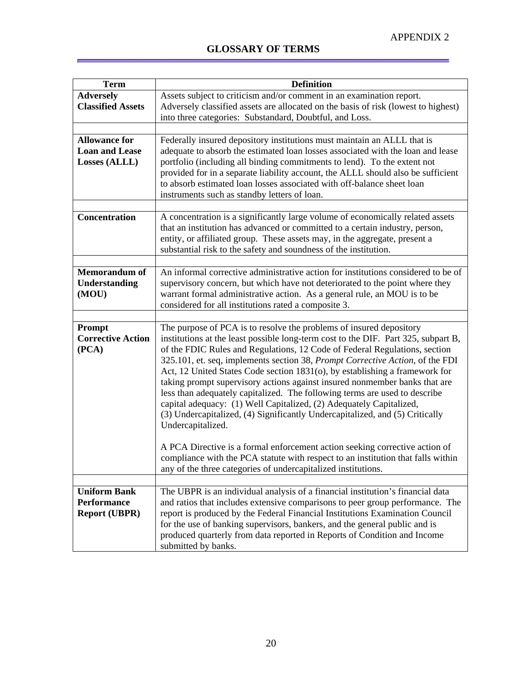É

| <b>Term</b>                       | <b>Definition</b>                                                                                                                                                |
|-----------------------------------|------------------------------------------------------------------------------------------------------------------------------------------------------------------|
| <b>Adversely</b>                  | Assets subject to criticism and/or comment in an examination report.                                                                                             |
| <b>Classified Assets</b>          | Adversely classified assets are allocated on the basis of risk (lowest to highest)                                                                               |
|                                   | into three categories: Substandard, Doubtful, and Loss.                                                                                                          |
| <b>Allowance for</b>              |                                                                                                                                                                  |
| <b>Loan and Lease</b>             | Federally insured depository institutions must maintain an ALLL that is<br>adequate to absorb the estimated loan losses associated with the loan and lease       |
| Losses (ALLL)                     | portfolio (including all binding commitments to lend). To the extent not                                                                                         |
|                                   | provided for in a separate liability account, the ALLL should also be sufficient                                                                                 |
|                                   | to absorb estimated loan losses associated with off-balance sheet loan                                                                                           |
|                                   | instruments such as standby letters of loan.                                                                                                                     |
|                                   |                                                                                                                                                                  |
| Concentration                     | A concentration is a significantly large volume of economically related assets                                                                                   |
|                                   | that an institution has advanced or committed to a certain industry, person,                                                                                     |
|                                   | entity, or affiliated group. These assets may, in the aggregate, present a<br>substantial risk to the safety and soundness of the institution.                   |
|                                   |                                                                                                                                                                  |
| <b>Memorandum of</b>              | An informal corrective administrative action for institutions considered to be of                                                                                |
| <b>Understanding</b>              | supervisory concern, but which have not deteriorated to the point where they                                                                                     |
| (MOU)                             | warrant formal administrative action. As a general rule, an MOU is to be                                                                                         |
|                                   | considered for all institutions rated a composite 3.                                                                                                             |
|                                   |                                                                                                                                                                  |
| Prompt                            | The purpose of PCA is to resolve the problems of insured depository                                                                                              |
| <b>Corrective Action</b><br>(PCA) | institutions at the least possible long-term cost to the DIF. Part 325, subpart B,<br>of the FDIC Rules and Regulations, 12 Code of Federal Regulations, section |
|                                   | 325.101, et. seq, implements section 38, Prompt Corrective Action, of the FDI                                                                                    |
|                                   | Act, 12 United States Code section 1831(o), by establishing a framework for                                                                                      |
|                                   | taking prompt supervisory actions against insured nonmember banks that are                                                                                       |
|                                   | less than adequately capitalized. The following terms are used to describe                                                                                       |
|                                   | capital adequacy: (1) Well Capitalized, (2) Adequately Capitalized,                                                                                              |
|                                   | (3) Undercapitalized, (4) Significantly Undercapitalized, and (5) Critically                                                                                     |
|                                   | Undercapitalized.                                                                                                                                                |
|                                   | A PCA Directive is a formal enforcement action seeking corrective action of                                                                                      |
|                                   | compliance with the PCA statute with respect to an institution that falls within                                                                                 |
|                                   | any of the three categories of undercapitalized institutions.                                                                                                    |
|                                   |                                                                                                                                                                  |
| <b>Uniform Bank</b>               | The UBPR is an individual analysis of a financial institution's financial data                                                                                   |
| <b>Performance</b>                | and ratios that includes extensive comparisons to peer group performance. The                                                                                    |
| <b>Report (UBPR)</b>              | report is produced by the Federal Financial Institutions Examination Council                                                                                     |
|                                   | for the use of banking supervisors, bankers, and the general public and is<br>produced quarterly from data reported in Reports of Condition and Income           |
|                                   | submitted by banks.                                                                                                                                              |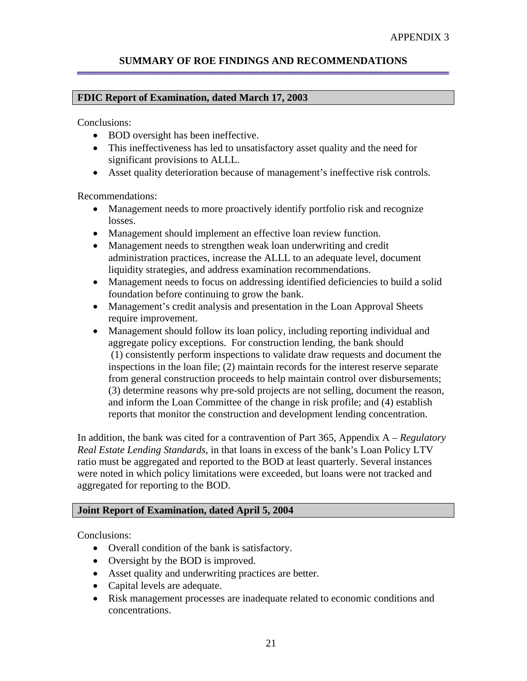### **SUMMARY OF ROE FINDINGS AND RECOMMENDATIONS**

#### **FDIC Report of Examination, dated March 17, 2003**

Conclusions:

- BOD oversight has been ineffective.
- This ineffectiveness has led to unsatisfactory asset quality and the need for significant provisions to ALLL.
- Asset quality deterioration because of management's ineffective risk controls.

Recommendations:

- Management needs to more proactively identify portfolio risk and recognize losses.
- Management should implement an effective loan review function.
- Management needs to strengthen weak loan underwriting and credit administration practices, increase the ALLL to an adequate level, document liquidity strategies, and address examination recommendations.
- Management needs to focus on addressing identified deficiencies to build a solid foundation before continuing to grow the bank.
- Management's credit analysis and presentation in the Loan Approval Sheets require improvement.
- Management should follow its loan policy, including reporting individual and aggregate policy exceptions.For construction lending, the bank should (1) consistently perform inspections to validate draw requests and document the inspections in the loan file; (2) maintain records for the interest reserve separate from general construction proceeds to help maintain control over disbursements; (3) determine reasons why pre-sold projects are not selling, document the reason, and inform the Loan Committee of the change in risk profile; and (4) establish reports that monitor the construction and development lending concentration.

In addition, the bank was cited for a contravention of Part 365, Appendix A – *Regulatory Real Estate Lending Standards*, in that loans in excess of the bank's Loan Policy LTV ratio must be aggregated and reported to the BOD at least quarterly. Several instances were noted in which policy limitations were exceeded, but loans were not tracked and aggregated for reporting to the BOD.

#### **Joint Report of Examination, dated April 5, 2004**

Conclusions:

- Overall condition of the bank is satisfactory.
- Oversight by the BOD is improved.
- Asset quality and underwriting practices are better.
- Capital levels are adequate.
- Risk management processes are inadequate related to economic conditions and concentrations.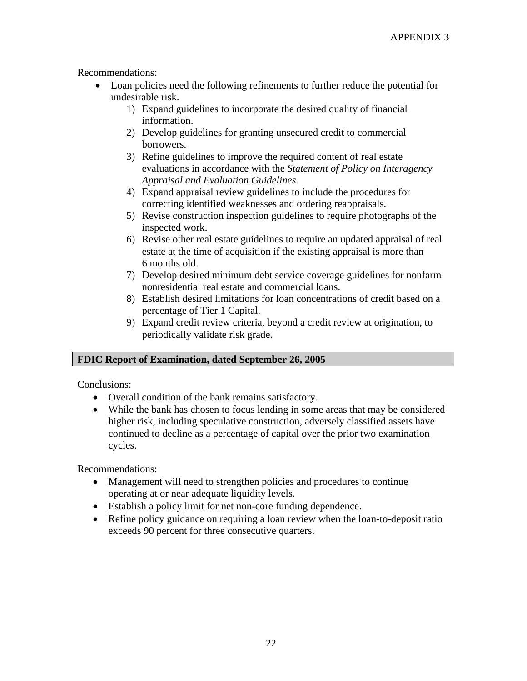Recommendations:

- Loan policies need the following refinements to further reduce the potential for undesirable risk.
	- 1) Expand guidelines to incorporate the desired quality of financial information.
	- 2) Develop guidelines for granting unsecured credit to commercial borrowers.
	- 3) Refine guidelines to improve the required content of real estate evaluations in accordance with the *Statement of Policy on Interagency Appraisal and Evaluation Guidelines.*
	- 4) Expand appraisal review guidelines to include the procedures for correcting identified weaknesses and ordering reappraisals.
	- 5) Revise construction inspection guidelines to require photographs of the inspected work.
	- 6) Revise other real estate guidelines to require an updated appraisal of real estate at the time of acquisition if the existing appraisal is more than 6 months old.
	- 7) Develop desired minimum debt service coverage guidelines for nonfarm nonresidential real estate and commercial loans.
	- 8) Establish desired limitations for loan concentrations of credit based on a percentage of Tier 1 Capital.
	- 9) Expand credit review criteria, beyond a credit review at origination, to periodically validate risk grade.

## **FDIC Report of Examination, dated September 26, 2005**

Conclusions:

- Overall condition of the bank remains satisfactory.
- While the bank has chosen to focus lending in some areas that may be considered higher risk, including speculative construction, adversely classified assets have continued to decline as a percentage of capital over the prior two examination cycles.

Recommendations:

- Management will need to strengthen policies and procedures to continue operating at or near adequate liquidity levels.
- Establish a policy limit for net non-core funding dependence.
- Refine policy guidance on requiring a loan review when the loan-to-deposit ratio exceeds 90 percent for three consecutive quarters.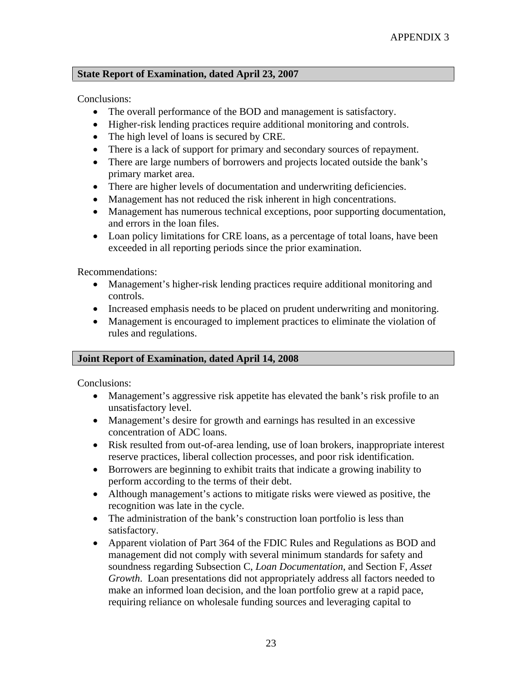#### **State Report of Examination, dated April 23, 2007**

Conclusions:

- The overall performance of the BOD and management is satisfactory.
- Higher-risk lending practices require additional monitoring and controls.
- The high level of loans is secured by CRE.
- There is a lack of support for primary and secondary sources of repayment.
- There are large numbers of borrowers and projects located outside the bank's primary market area.
- There are higher levels of documentation and underwriting deficiencies.
- Management has not reduced the risk inherent in high concentrations.
- Management has numerous technical exceptions, poor supporting documentation, and errors in the loan files.
- Loan policy limitations for CRE loans, as a percentage of total loans, have been exceeded in all reporting periods since the prior examination.

Recommendations:

- Management's higher-risk lending practices require additional monitoring and controls.
- Increased emphasis needs to be placed on prudent underwriting and monitoring.
- Management is encouraged to implement practices to eliminate the violation of rules and regulations.

#### **Joint Report of Examination, dated April 14, 2008**

Conclusions:

- Management's aggressive risk appetite has elevated the bank's risk profile to an unsatisfactory level.
- Management's desire for growth and earnings has resulted in an excessive concentration of ADC loans.
- Risk resulted from out-of-area lending, use of loan brokers, inappropriate interest reserve practices, liberal collection processes, and poor risk identification.
- Borrowers are beginning to exhibit traits that indicate a growing inability to perform according to the terms of their debt.
- Although management's actions to mitigate risks were viewed as positive, the recognition was late in the cycle.
- The administration of the bank's construction loan portfolio is less than satisfactory.
- Apparent violation of Part 364 of the FDIC Rules and Regulations as BOD and management did not comply with several minimum standards for safety and soundness regarding Subsection C, *Loan Documentation*, and Section F, *Asset Growth*. Loan presentations did not appropriately address all factors needed to make an informed loan decision, and the loan portfolio grew at a rapid pace, requiring reliance on wholesale funding sources and leveraging capital to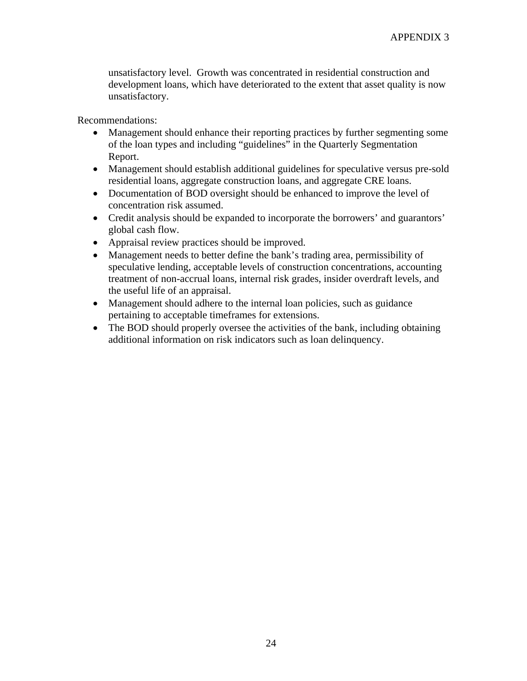unsatisfactory level. Growth was concentrated in residential construction and development loans, which have deteriorated to the extent that asset quality is now unsatisfactory.

Recommendations:

- Management should enhance their reporting practices by further segmenting some of the loan types and including "guidelines" in the Quarterly Segmentation Report.
- Management should establish additional guidelines for speculative versus pre-sold residential loans, aggregate construction loans, and aggregate CRE loans.
- Documentation of BOD oversight should be enhanced to improve the level of concentration risk assumed.
- Credit analysis should be expanded to incorporate the borrowers' and guarantors' global cash flow.
- Appraisal review practices should be improved.
- Management needs to better define the bank's trading area, permissibility of speculative lending, acceptable levels of construction concentrations, accounting treatment of non-accrual loans, internal risk grades, insider overdraft levels, and the useful life of an appraisal.
- Management should adhere to the internal loan policies, such as guidance pertaining to acceptable timeframes for extensions.
- The BOD should properly oversee the activities of the bank, including obtaining additional information on risk indicators such as loan delinquency.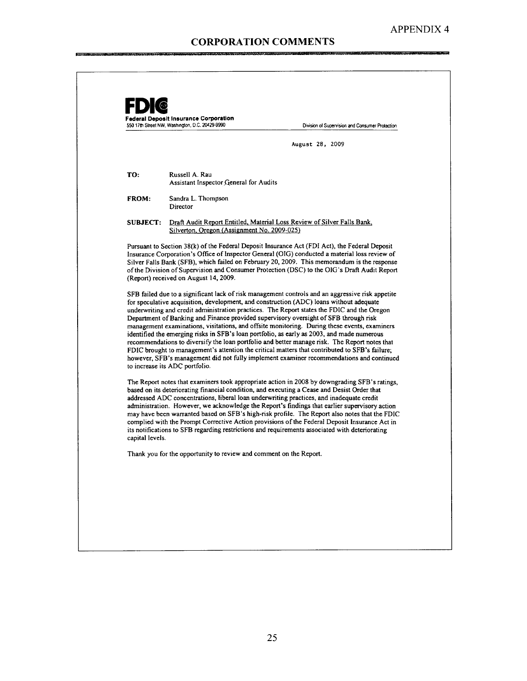فتستدع

|                 | August 28, 2009                                                                                                                                                                                                                                                                                                                                                                                                                                                                                                                                                                                                                                                                                                                                                                                                                                                                                                                                                                                                                                                                                                                                           |
|-----------------|-----------------------------------------------------------------------------------------------------------------------------------------------------------------------------------------------------------------------------------------------------------------------------------------------------------------------------------------------------------------------------------------------------------------------------------------------------------------------------------------------------------------------------------------------------------------------------------------------------------------------------------------------------------------------------------------------------------------------------------------------------------------------------------------------------------------------------------------------------------------------------------------------------------------------------------------------------------------------------------------------------------------------------------------------------------------------------------------------------------------------------------------------------------|
| TO:             | Russell A. Rau<br>Assistant Inspector General for Audits                                                                                                                                                                                                                                                                                                                                                                                                                                                                                                                                                                                                                                                                                                                                                                                                                                                                                                                                                                                                                                                                                                  |
| <b>FROM:</b>    | Sandra L. Thompson<br>Director                                                                                                                                                                                                                                                                                                                                                                                                                                                                                                                                                                                                                                                                                                                                                                                                                                                                                                                                                                                                                                                                                                                            |
| <b>SUBJECT:</b> | Draft Audit Report Entitled, Material Loss Review of Silver Falls Bank,<br>Silverton, Oregon (Assignment No. 2009-025)                                                                                                                                                                                                                                                                                                                                                                                                                                                                                                                                                                                                                                                                                                                                                                                                                                                                                                                                                                                                                                    |
|                 | Silver Falls Bank (SFB), which failed on February 20, 2009. This memorandum is the response<br>of the Division of Supervision and Consumer Protection (DSC) to the OIG's Draft Audit Report<br>(Report) received on August 14, 2009.<br>SFB failed due to a significant lack of risk management controls and an aggressive risk appetite<br>for speculative acquisition, development, and construction (ADC) loans without adequate<br>underwriting and credit administration practices. The Report states the FDIC and the Oregon<br>Department of Banking and Finance provided supervisory oversight of SFB through risk<br>management examinations, visitations, and offsite monitoring. During these events, examiners<br>identified the emerging risks in SFB's loan portfolio, as early as 2003, and made numerous<br>recommendations to diversify the loan portfolio and better manage risk. The Report notes that<br>FDIC brought to management's attention the critical matters that contributed to SFB's failure;<br>however, SFB's management did not fully implement examiner recommendations and continued<br>to increase its ADC portfolio. |
|                 | The Report notes that examiners took appropriate action in 2008 by downgrading SFB's ratings,<br>based on its deteriorating financial condition, and executing a Cease and Desist Order that<br>addressed ADC concentrations, liberal loan underwriting practices, and inadequate credit                                                                                                                                                                                                                                                                                                                                                                                                                                                                                                                                                                                                                                                                                                                                                                                                                                                                  |
| capital levels. | administration. However, we acknowledge the Report's findings that earlier supervisory action<br>may have been warranted based on SFB's high-risk profile. The Report also notes that the FDIC<br>complied with the Prompt Corrective Action provisions of the Federal Deposit Insurance Act in<br>its notifications to SFB regarding restrictions and requirements associated with deteriorating                                                                                                                                                                                                                                                                                                                                                                                                                                                                                                                                                                                                                                                                                                                                                         |